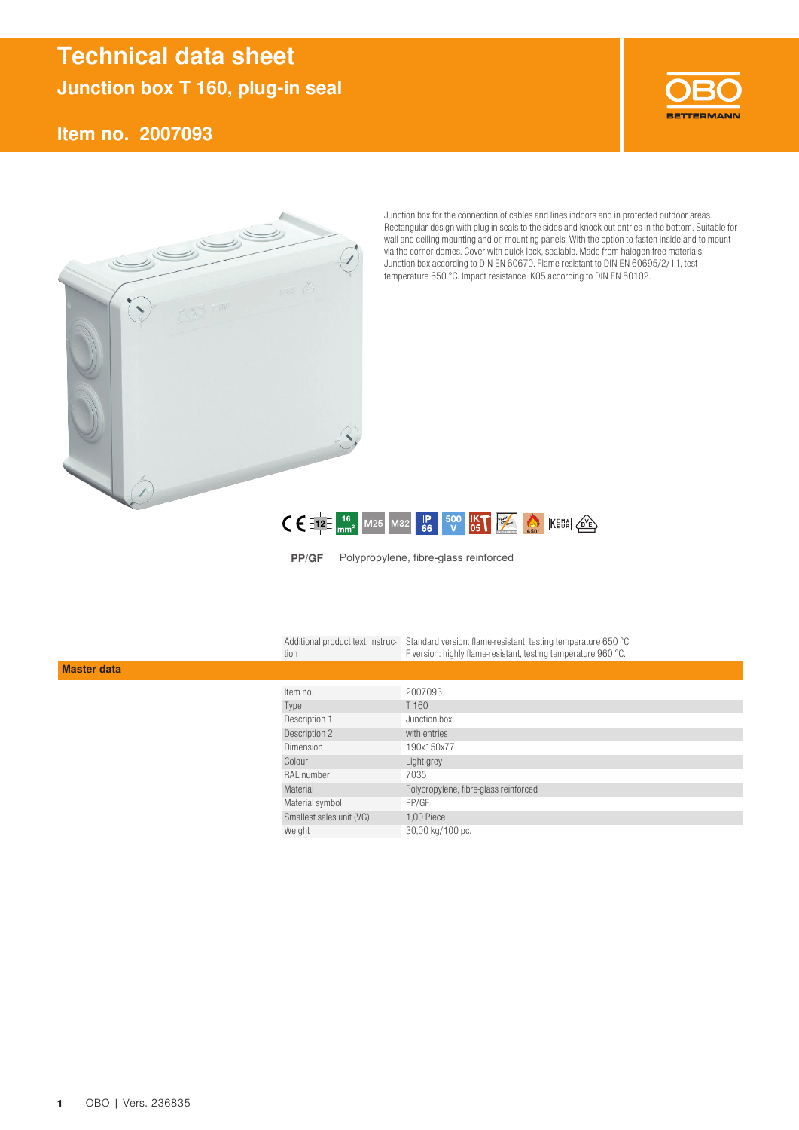## [Technical data sheet](https://obo.de/article/sku/de-DE/2007093) [Junction box T 160, plug-in seal](https://obo.de/article/sku/de-DE/2007093)

### [Item no. 2007093](https://obo.de/article/sku/de-DE/2007093)





Junction box for the connection of cables and lines indoors and in protected outdoor areas. Rectangular design with plug-in seals to the sides and knock-out entries in the bottom. Suitable for wall and ceiling mounting and on mounting panels. With the option to fasten inside and to mount via the corner domes. Cover with quick lock, sealable. Made from halogen-free materials. Junction box according to DIN EN 60670. Flame-resistant to DIN EN 60695/2/11, test temperature 650 °C. Impact resistance IK05 according to DIN EN 50102.



PP/GF Polypropylene, fibre-glass reinforced

Standard version: flame-resistant, testing temperature 650 °C. F version: highly flame-resistant, testing temperature 960 °C. Additional product text, instruction

#### Master data

| Item no.                 | 2007093                               |
|--------------------------|---------------------------------------|
| Type                     | T 160                                 |
| Description 1            | Junction box                          |
| Description 2            | with entries                          |
| <b>Dimension</b>         | 190x150x77                            |
| Colour                   | Light grey                            |
| RAL number               | 7035                                  |
| Material                 | Polypropylene, fibre-glass reinforced |
| Material symbol          | PP/GF                                 |
| Smallest sales unit (VG) | 1,00 Piece                            |
| Weight                   | 30,00 kg/100 pc.                      |